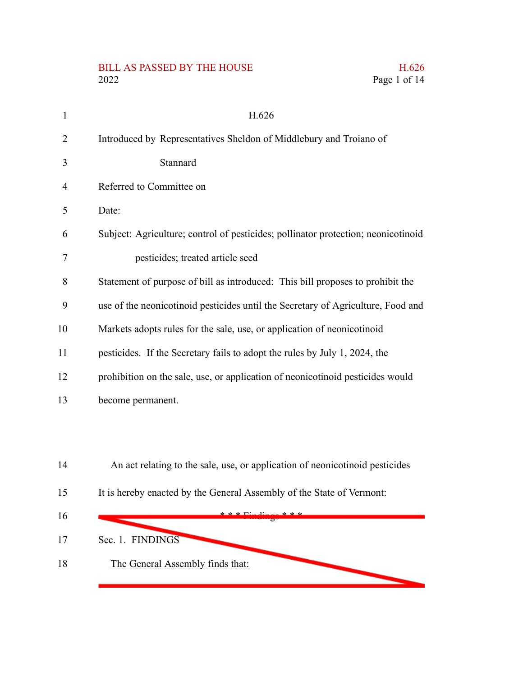# BILL AS PASSED BY THE HOUSE H.626<br>2022 Page 1 of 14

| $\mathbf{1}$   | H.626                                                                             |
|----------------|-----------------------------------------------------------------------------------|
| $\overline{2}$ | Introduced by Representatives Sheldon of Middlebury and Troiano of                |
| 3              | Stannard                                                                          |
| $\overline{4}$ | Referred to Committee on                                                          |
| 5              | Date:                                                                             |
| 6              | Subject: Agriculture; control of pesticides; pollinator protection; neonicotinoid |
| 7              | pesticides; treated article seed                                                  |
| 8              | Statement of purpose of bill as introduced: This bill proposes to prohibit the    |
| 9              | use of the neonicotinoid pesticides until the Secretary of Agriculture, Food and  |
| 10             | Markets adopts rules for the sale, use, or application of neonicotinoid           |
| 11             | pesticides. If the Secretary fails to adopt the rules by July 1, 2024, the        |
| 12             | prohibition on the sale, use, or application of neonicotinoid pesticides would    |
| 13             | become permanent.                                                                 |
|                |                                                                                   |
|                |                                                                                   |
| 14             | An act relating to the sale, use, or application of neonicotinoid pesticides      |
| 15             | It is hereby enacted by the General Assembly of the State of Vermont:             |
| 16             |                                                                                   |
| 17             | Sec. 1. FINDINGS                                                                  |

Page 1 of 14

**The Second Service** 

- Sec. 1. FINDINGS
- The General Assembly finds that: 18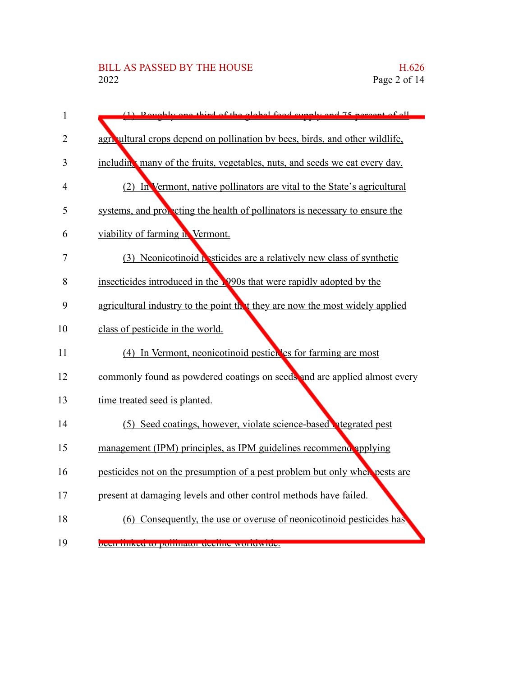| $\mathbf{1}$   | (1) Doughly and third of the global food gunnly and 75 neroont of all        |
|----------------|------------------------------------------------------------------------------|
| $\overline{2}$ | agricultural crops depend on pollination by bees, birds, and other wildlife, |
| 3              | including many of the fruits, vegetables, nuts, and seeds we eat every day.  |
| 4              | (2) In Vermont, native pollinators are vital to the State's agricultural     |
| 5              | systems, and proceding the health of pollinators is necessary to ensure the  |
| 6              | viability of farming in Vermont.                                             |
| 7              | (3) Neonicotinoid pesticides are a relatively new class of synthetic         |
| 8              | insecticides introduced in the 1990s that were rapidly adopted by the        |
| 9              | agricultural industry to the point that they are now the most widely applied |
| 10             | class of pesticide in the world.                                             |
| 11             | (4) In Vermont, neonicotinoid pesticides for farming are most                |
| 12             | commonly found as powdered coatings on seeds and are applied almost every    |
| 13             | time treated seed is planted.                                                |
| 14             | (5) Seed coatings, however, violate science-based negrated pest              |
| 15             | management (IPM) principles, as IPM guidelines recommend applying            |
| 16             | pesticides not on the presumption of a pest problem but only when pests are  |
| 17             | present at damaging levels and other control methods have failed.            |
| 18             | (6) Consequently, the use or overuse of neonicotinoid pesticides has         |
| 19             | been miked to pommator decime worldwide.                                     |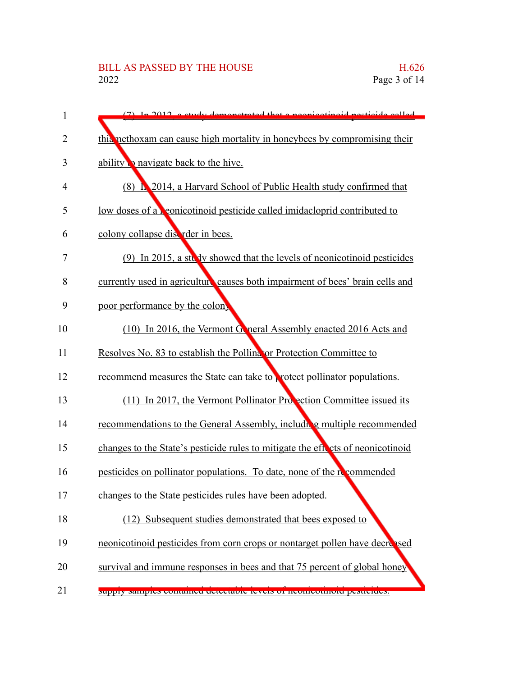| 1              | (7) In 2012, a study demonstrated that a negotiacide period called                |
|----------------|-----------------------------------------------------------------------------------|
| $\overline{2}$ | thia nethoxam can cause high mortality in honeybees by compromising their         |
| 3              | ability <b>b</b> navigate back to the hive.                                       |
| 4              | (8) <b>h.</b> 2014, a Harvard School of Public Health study confirmed that        |
| 5              | low doses of a <b>r</b> eonicotinoid pesticide called imidacloprid contributed to |
| 6              | colony collapse discrider in bees.                                                |
| 7              | (9) In 2015, a study showed that the levels of neonicotinoid pesticides           |
| 8              | currently used in agriculture causes both impairment of bees' brain cells and     |
| 9              | poor performance by the colon                                                     |
| 10             | (10) In 2016, the Vermont Goneral Assembly enacted 2016 Acts and                  |
| 11             | Resolves No. 83 to establish the Pollina for Protection Committee to              |
| 12             | recommend measures the State can take to protect pollinator populations.          |
| 13             | $(11)$ In 2017, the Vermont Pollinator Probection Committee issued its            |
| 14             | recommendations to the General Assembly, including multiple recommended           |
| 15             | changes to the State's pesticide rules to mitigate the effects of neonicotinoid   |
| 16             | pesticides on pollinator populations. To date, none of the recommended            |
| 17             | changes to the State pesticides rules have been adopted.                          |
| 18             | (12) Subsequent studies demonstrated that bees exposed to                         |
| 19             | neonicotinoid pesticides from corn crops or nontarget pollen have decreed         |
| 20             | survival and immune responses in bees and that 75 percent of global honey         |
| 21             | мирну запиркъ социаниет истеставле теметъ от неописопноти резистием.              |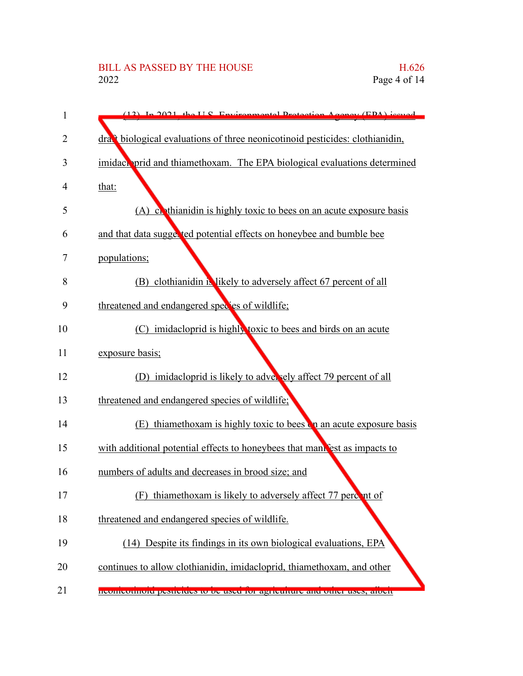# BILL AS PASSED BY THE HOUSE H.626<br>2022 Page 4 of 14

| 1  | $(12)$ In 2021 the U.S. Environmental Protection Agency (EDA) issued                     |
|----|------------------------------------------------------------------------------------------|
| 2  | dra <sup>t</sup> biological evaluations of three neonicotinoid pesticides: clothianidin, |
| 3  | imidach prid and thiamethoxam. The EPA biological evaluations determined                 |
| 4  | that:                                                                                    |
| 5  | (A) continuity of the exposure is highly toxic to bees on an acute exposure basis        |
| 6  | and that data sugges ted potential effects on honeybee and bumble bee                    |
| 7  | populations;                                                                             |
| 8  | (B) clothianidin is likely to adversely affect 67 percent of all                         |
| 9  | threatened and endangered species of wildlife;                                           |
| 10 | (C) imidacloprid is highly toxic to bees and birds on an acute                           |
| 11 | exposure basis;                                                                          |
| 12 | (D) imidacloprid is likely to adversely affect 79 percent of all                         |
| 13 | threatened and endangered species of wildlife;                                           |
| 14 | (E) thiamethoxam is highly toxic to bees on an acute exposure basis                      |
| 15 | with additional potential effects to honeybees that manness to impacts to                |
| 16 | numbers of adults and decreases in brood size; and                                       |
| 17 | thiamethoxam is likely to adversely affect 77 percent of                                 |
| 18 | threatened and endangered species of wildlife.                                           |
| 19 | (14) Despite its findings in its own biological evaluations, EPA                         |
| 20 | continues to allow clothianidin, imidacloprid, thiamethoxam, and other                   |
| 21 | treutification desticities to be used for agriculture and other uses, about              |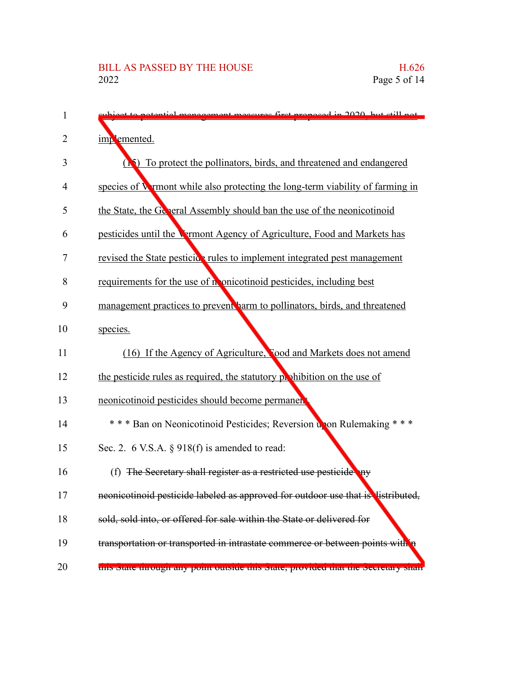| 1  | et to notential menogement measures first proposed in 2020, but still not         |
|----|-----------------------------------------------------------------------------------|
| 2  | implemented.                                                                      |
| 3  | ( <b>N</b> ) To protect the pollinators, birds, and threatened and endangered     |
| 4  | species of Wymont while also protecting the long-term viability of farming in     |
| 5  | the State, the General Assembly should ban the use of the neonicotinoid           |
| 6  | pesticides until the Vermont Agency of Agriculture, Food and Markets has          |
| 7  | revised the State pesticide rules to implement integrated pest management         |
| 8  | requirements for the use of n onicotinoid pesticides, including best              |
| 9  | management practices to prevent harm to pollinators, birds, and threatened        |
| 10 | species.                                                                          |
| 11 | (16) If the Agency of Agriculture, Tood and Markets does not amend                |
| 12 | the pesticide rules as required, the statutory prohibition on the use of          |
| 13 | neonicotinoid pesticides should become permanent                                  |
| 14 | *** Ban on Neonicotinoid Pesticides; Reversion upon Rulemaking ***                |
| 15 | Sec. 2. 6 V.S.A. § 918(f) is amended to read:                                     |
| 16 | (f) The Secretary shall register as a restricted use pesticide any                |
| 17 | neonicotinoid pesticide labeled as approved for outdoor use that is listributed,  |
| 18 | sold, sold into, or offered for sale within the State or delivered for            |
| 19 | transportation or transported in intrastate commerce or between points with       |
| 20 | this state unough any point outside this state, provided that the secretary share |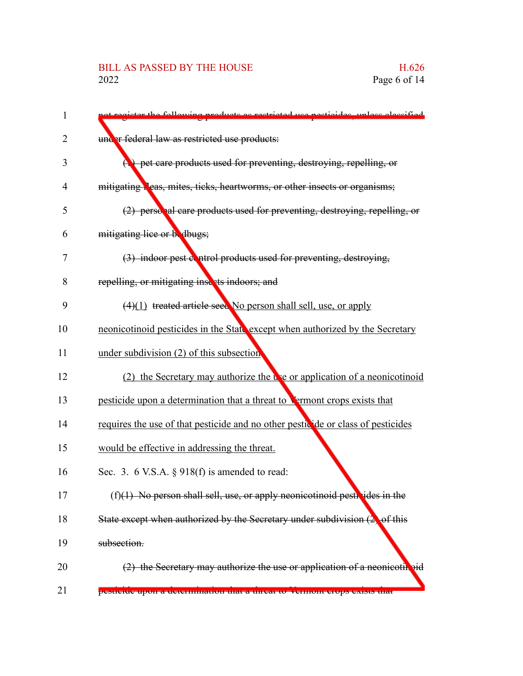## BILL AS PASSED BY THE HOUSE H.626<br>2022 Page 6 of 14

| following products as restricted use pesticides, unless eleccified                      |
|-----------------------------------------------------------------------------------------|
| under federal law as restricted use products:                                           |
| $\left(\bullet\right)$ pet care products used for preventing, destroying, repelling, or |
| mitigating leas, mites, ticks, heartworms, or other insects or organisms;               |
| (2) personal care products used for preventing, destroying, repelling, or               |
| mitigating lice or be dbugs;                                                            |
| (3) indoor pest control products used for preventing, destroying,                       |
| repelling, or mitigating insects indoors; and                                           |
| $(4)(1)$ treated article seed No person shall sell, use, or apply                       |
| neonicotinoid pesticides in the State except when authorized by the Secretary           |
| under subdivision (2) of this subsection                                                |
| (2) the Secretary may authorize the $\mathbf{u}$ a present a neonicotinual              |
| pesticide upon a determination that a threat to <b>Vermont</b> crops exists that        |
| requires the use of that pesticide and no other pesticide or class of pesticides        |
| would be effective in addressing the threat.                                            |
| Sec. 3. 6 V.S.A. $\S$ 918(f) is amended to read:                                        |
| $(f)(1)$ No person shall sell, use, or apply neonicotinoid pestivides in the            |
| State except when authorized by the Secretary under subdivision $(2)$ of this           |
| subsection.                                                                             |
| (2) the Secretary may authorize the use or application of a neonicotil pid              |
| pesticiue upon a uetermination that a tineat to vermont crops exists that               |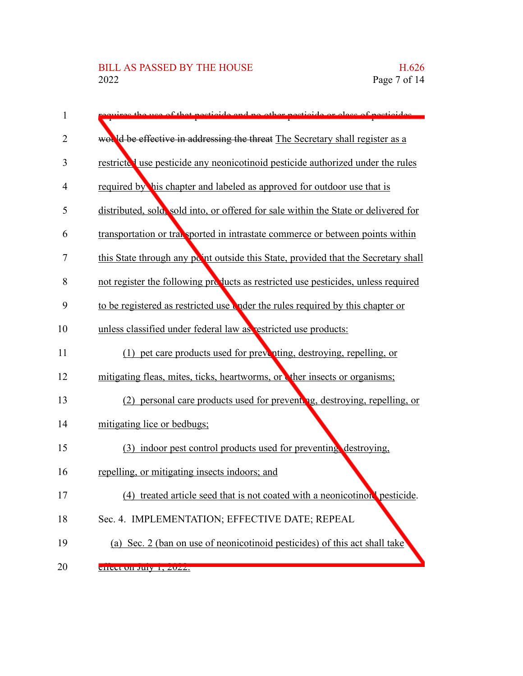| 1              | the use of that pecticide and no other pecticide or class of pecticides             |
|----------------|-------------------------------------------------------------------------------------|
| $\overline{2}$ | would be effective in addressing the threat The Secretary shall register as a       |
| 3              | restricted use pesticide any neonicotinoid pesticide authorized under the rules     |
| 4              | required by his chapter and labeled as approved for outdoor use that is             |
| 5              | distributed, sold, sold into, or offered for sale within the State or delivered for |
| 6              | transportation or transported in intrastate commerce or between points within       |
| 7              | this State through any point outside this State, provided that the Secretary shall  |
| 8              | not register the following products as restricted use pesticides, unless required   |
| 9              | to be registered as restricted use under the rules required by this chapter or      |
| 10             | unless classified under federal law as restricted use products:                     |
| 11             | (1) pet care products used for preventing, destroying, repelling, or                |
| 12             | mitigating fleas, mites, ticks, heartworms, or ther insects or organisms;           |
| 13             | (2) personal care products used for preventing, destroying, repelling, or           |
| 14             | mitigating lice or bedbugs;                                                         |
| 15             | (3) indoor pest control products used for preventing destroying,                    |
| 16             | repelling, or mitigating insects indoors; and                                       |
| 17             | (4) treated article seed that is not coated with a neonicotinoul pesticide.         |
| 18             | Sec. 4. IMPLEMENTATION; EFFECTIVE DATE; REPEAL                                      |
| 19             | (a) Sec. 2 (ban on use of neonicotinoid pesticides) of this act shall take          |
| 20             | <u> GHECL OIL JUTY 1, ZUZZ.</u>                                                     |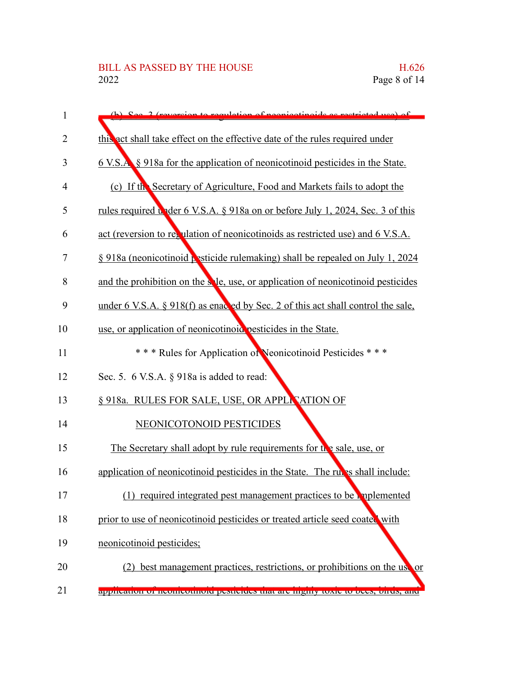| 1              | See 2 (revergion to regulation of negotiating de executive use) of                    |
|----------------|---------------------------------------------------------------------------------------|
| 2              | this act shall take effect on the effective date of the rules required under          |
| 3              | 6 V.S.A. § 918a for the application of neonicotinoid pesticides in the State.         |
| $\overline{4}$ | (c) If the Secretary of Agriculture, Food and Markets fails to adopt the              |
| 5              | <u>rules required under 6 V.S.A. § 918a on or before July 1, 2024, Sec. 3 of this</u> |
| 6              | act (reversion to regulation of neonicotinoids as restricted use) and 6 V.S.A.        |
| 7              | § 918a (neonicotinoid pesticide rulemaking) shall be repealed on July 1, 2024         |
| 8              | and the prohibition on the sele, use, or application of neonicotinoid pesticides      |
| 9              | under 6 V.S.A. § 918(f) as enacted by Sec. 2 of this act shall control the sale,      |
| 10             | use, or application of neonicotinoid pesticides in the State.                         |
| 11             | *** Rules for Application of Neonicotinoid Pesticides ***                             |
| 12             | Sec. 5. 6 V.S.A. § 918a is added to read:                                             |
| 13             | § 918a. RULES FOR SALE, USE, OR APPLICATION OF                                        |
| 14             | NEONICOTONOID PESTICIDES                                                              |
| 15             | The Secretary shall adopt by rule requirements for the sale, use, or                  |
| 16             | application of neonicotinoid pesticides in the State. The rules shall include:        |
| 17             | required integrated pest management practices to be replemented                       |
| 18             | prior to use of neonicotinoid pesticides or treated article seed coated with          |
| 19             | neonicotinoid pesticides;                                                             |
| 20             | best management practices, restrictions, or prohibitions on the use or                |
| 21             | apprication or neomeotinoid pesticides that are inginy toxic to bees, offus, and      |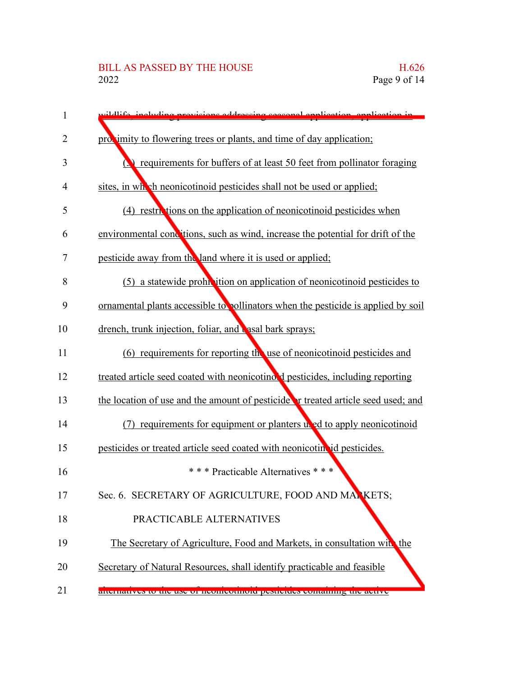## BILL AS PASSED BY THE HOUSE H.626<br>2022 Page 9 of 14

| 1              | wildlife including provisions addressing second emplication, emplication in             |
|----------------|-----------------------------------------------------------------------------------------|
| $\overline{2}$ | proximity to flowering trees or plants, and time of day application;                    |
| 3              | <b>Q</b> requirements for buffers of at least 50 feet from pollinator foraging          |
| 4              | sites, in which neonicotinoid pesticides shall not be used or applied;                  |
| 5              | (4) restrictions on the application of neonicotinoid pesticides when                    |
| 6              | environmental conditions, such as wind, increase the potential for drift of the         |
| 7              | pesticide away from the land where it is used or applied;                               |
| 8              | (5) a statewide prohibition on application of neonicotinoid pesticides to               |
| 9              | ornamental plants accessible to pollinators when the pesticide is applied by soil       |
| 10             | drench, trunk injection, foliar, and <b>c</b> asal bark sprays;                         |
| 11             | (6) requirements for reporting the use of neonicotinoid pesticides and                  |
| 12             | treated article seed coated with neonicotino. I pesticides, including reporting         |
| 13             | the location of use and the amount of pesticide <b>r</b> treated article seed used; and |
| 14             | (7) requirements for equipment or planters used to apply neonicotinoid                  |
| 15             | pesticides or treated article seed coated with neonicotin id pesticides.                |
| 16             | *** Practicable Alternatives ***                                                        |
| 17             | Sec. 6. SECRETARY OF AGRICULTURE, FOOD AND MARKETS;                                     |
| 18             | PRACTICABLE ALTERNATIVES                                                                |
| 19             | The Secretary of Agriculture, Food and Markets, in consultation with the                |
| 20             | Secretary of Natural Resources, shall identify practicable and feasible                 |
| 21             | anchiames to the use of heomeomore pesiteties containing the active                     |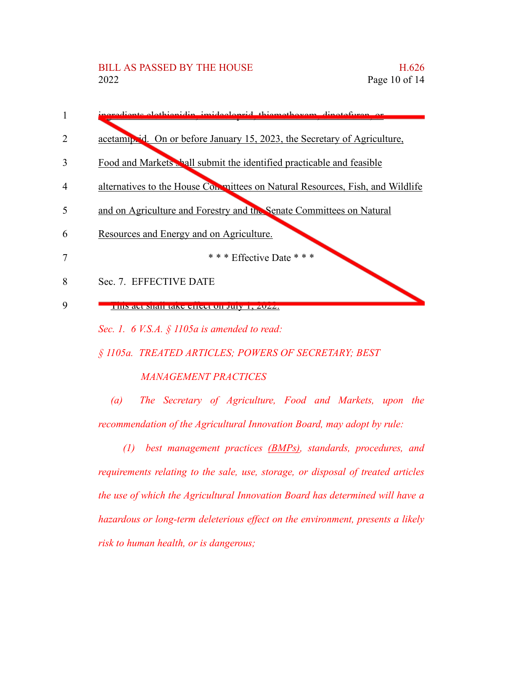

*Sec. 1. 6 V.S.A. § 1105a is amended to read:*

*§ 1105a. TREATED ARTICLES; POWERS OF SECRETARY; BEST*

#### *MANAGEMENT PRACTICES*

*(a) The Secretary of Agriculture, Food and Markets, upon the recommendation of the Agricultural Innovation Board, may adopt by rule:*

*(1) best management practices (BMPs), standards, procedures, and requirements relating to the sale, use, storage, or disposal of treated articles the use of which the Agricultural Innovation Board has determined will have a hazardous or long-term deleterious effect on the environment, presents a likely risk to human health, or is dangerous;*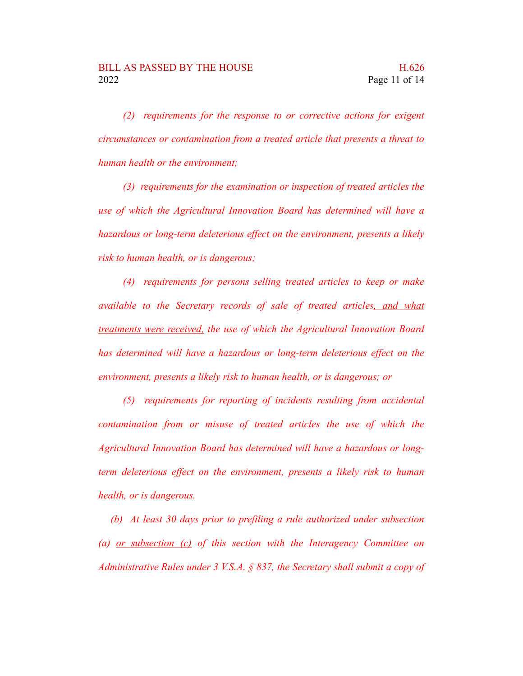*(2) requirements for the response to or corrective actions for exigent circumstances or contamination from a treated article that presents a threat to human health or the environment;*

*(3) requirements for the examination or inspection of treated articles the use of which the Agricultural Innovation Board has determined will have a hazardous or long-term deleterious effect on the environment, presents a likely risk to human health, or is dangerous;*

*(4) requirements for persons selling treated articles to keep or make available to the Secretary records of sale of treated articles, and what treatments were received, the use of which the Agricultural Innovation Board has determined will have a hazardous or long-term deleterious effect on the environment, presents a likely risk to human health, or is dangerous; or*

*(5) requirements for reporting of incidents resulting from accidental contamination from or misuse of treated articles the use of which the Agricultural Innovation Board has determined will have a hazardous or longterm deleterious effect on the environment, presents a likely risk to human health, or is dangerous.*

*(b) At least 30 days prior to prefiling a rule authorized under subsection (a) or subsection (c) of this section with the Interagency Committee on Administrative Rules under 3 V.S.A. § 837, the Secretary shall submit a copy of*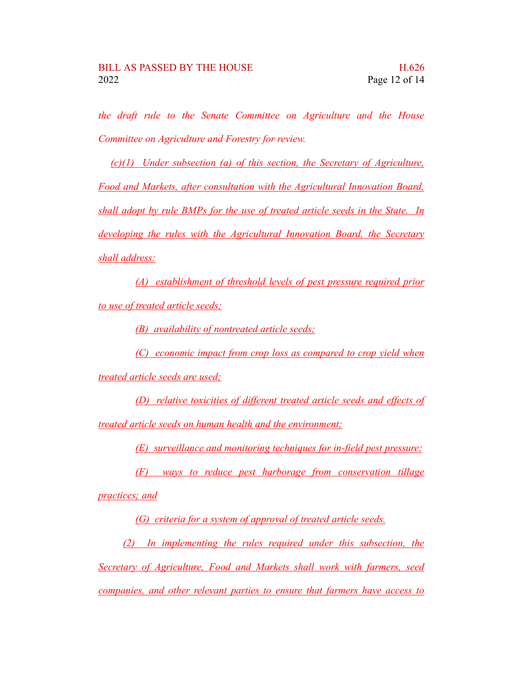*the draft rule to the Senate Committee on Agriculture and the House Committee on Agriculture and Forestry for review.*

*(c)(1) Under subsection (a) of this section, the Secretary of Agriculture, Food and Markets, after consultation with the Agricultural Innovation Board, shall adopt by rule BMPs for the use of treated article seeds in the State. In developing the rules with the Agricultural Innovation Board, the Secretary shall address:*

*(A) establishment of threshold levels of pest pressure required prior to use of treated article seeds;*

*(B) availability of nontreated article seeds;*

*(C) economic impact from crop loss as compared to crop yield when*

*treated article seeds are used;*

*(D) relative toxicities of different treated article seeds and effects of treated article seeds on human health and the environment;*

*(E) surveillance and monitoring techniques for in-field pest pressure;*

*(F) ways to reduce pest harborage from conservation tillage practices; and*

*(G) criteria for a system of approval of treated article seeds.*

*(2) In implementing the rules required under this subsection, the Secretary of Agriculture, Food and Markets shall work with farmers, seed companies, and other relevant parties to ensure that farmers have access to*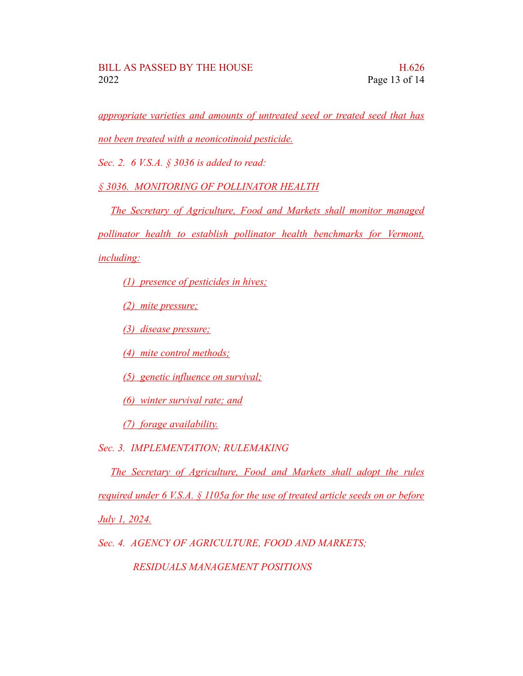*appropriate varieties and amounts of untreated seed or treated seed that has not been treated with a neonicotinoid pesticide.*

*Sec. 2. 6 V.S.A. § 3036 is added to read:*

*§ 3036. MONITORING OF POLLINATOR HEALTH*

*The Secretary of Agriculture, Food and Markets shall monitor managed pollinator health to establish pollinator health benchmarks for Vermont, including:*

*(1) presence of pesticides in hives;*

*(2) mite pressure;*

*(3) disease pressure;*

*(4) mite control methods;*

*(5) genetic influence on survival;*

*(6) winter survival rate; and*

*(7) forage availability.*

*Sec. 3. IMPLEMENTATION; RULEMAKING*

*The Secretary of Agriculture, Food and Markets shall adopt the rules required under 6 V.S.A. § 1105a for the use of treated article seeds on or before*

*July 1, 2024.*

*Sec. 4. AGENCY OF AGRICULTURE, FOOD AND MARKETS;*

*RESIDUALS MANAGEMENT POSITIONS*